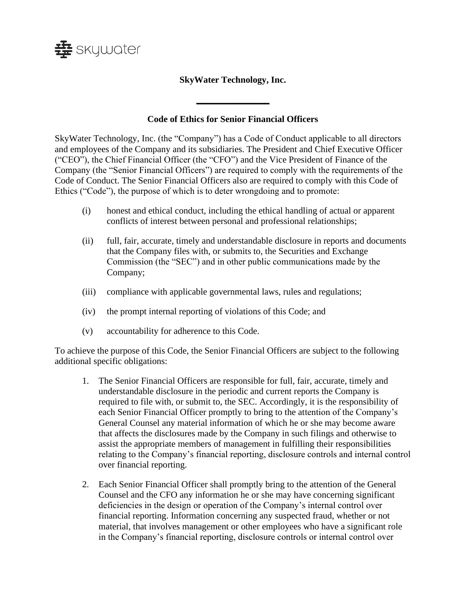

## **SkyWater Technology, Inc.**

## **Code of Ethics for Senior Financial Officers**

**\_\_\_\_\_\_\_\_\_\_\_\_\_\_\_\_**

SkyWater Technology, Inc. (the "Company") has a Code of Conduct applicable to all directors and employees of the Company and its subsidiaries. The President and Chief Executive Officer ("CEO"), the Chief Financial Officer (the "CFO") and the Vice President of Finance of the Company (the "Senior Financial Officers") are required to comply with the requirements of the Code of Conduct. The Senior Financial Officers also are required to comply with this Code of Ethics ("Code"), the purpose of which is to deter wrongdoing and to promote:

- (i) honest and ethical conduct, including the ethical handling of actual or apparent conflicts of interest between personal and professional relationships;
- (ii) full, fair, accurate, timely and understandable disclosure in reports and documents that the Company files with, or submits to, the Securities and Exchange Commission (the "SEC") and in other public communications made by the Company;
- (iii) compliance with applicable governmental laws, rules and regulations;
- (iv) the prompt internal reporting of violations of this Code; and
- (v) accountability for adherence to this Code.

To achieve the purpose of this Code, the Senior Financial Officers are subject to the following additional specific obligations:

- 1. The Senior Financial Officers are responsible for full, fair, accurate, timely and understandable disclosure in the periodic and current reports the Company is required to file with, or submit to, the SEC. Accordingly, it is the responsibility of each Senior Financial Officer promptly to bring to the attention of the Company's General Counsel any material information of which he or she may become aware that affects the disclosures made by the Company in such filings and otherwise to assist the appropriate members of management in fulfilling their responsibilities relating to the Company's financial reporting, disclosure controls and internal control over financial reporting.
- 2. Each Senior Financial Officer shall promptly bring to the attention of the General Counsel and the CFO any information he or she may have concerning significant deficiencies in the design or operation of the Company's internal control over financial reporting. Information concerning any suspected fraud, whether or not material, that involves management or other employees who have a significant role in the Company's financial reporting, disclosure controls or internal control over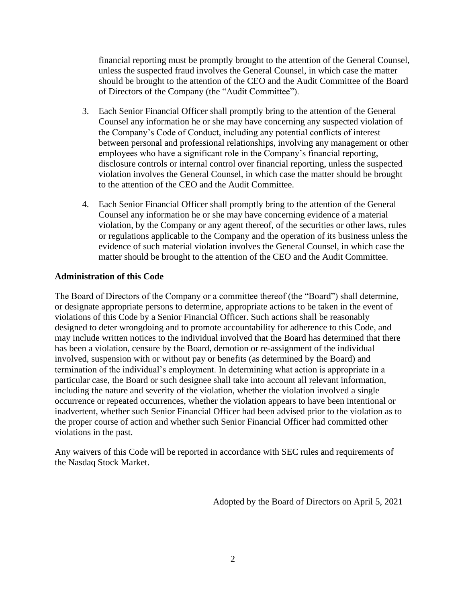financial reporting must be promptly brought to the attention of the General Counsel, unless the suspected fraud involves the General Counsel, in which case the matter should be brought to the attention of the CEO and the Audit Committee of the Board of Directors of the Company (the "Audit Committee").

- 3. Each Senior Financial Officer shall promptly bring to the attention of the General Counsel any information he or she may have concerning any suspected violation of the Company's Code of Conduct, including any potential conflicts of interest between personal and professional relationships, involving any management or other employees who have a significant role in the Company's financial reporting, disclosure controls or internal control over financial reporting, unless the suspected violation involves the General Counsel, in which case the matter should be brought to the attention of the CEO and the Audit Committee.
- 4. Each Senior Financial Officer shall promptly bring to the attention of the General Counsel any information he or she may have concerning evidence of a material violation, by the Company or any agent thereof, of the securities or other laws, rules or regulations applicable to the Company and the operation of its business unless the evidence of such material violation involves the General Counsel, in which case the matter should be brought to the attention of the CEO and the Audit Committee.

## **Administration of this Code**

The Board of Directors of the Company or a committee thereof (the "Board") shall determine, or designate appropriate persons to determine, appropriate actions to be taken in the event of violations of this Code by a Senior Financial Officer. Such actions shall be reasonably designed to deter wrongdoing and to promote accountability for adherence to this Code, and may include written notices to the individual involved that the Board has determined that there has been a violation, censure by the Board, demotion or re-assignment of the individual involved, suspension with or without pay or benefits (as determined by the Board) and termination of the individual's employment. In determining what action is appropriate in a particular case, the Board or such designee shall take into account all relevant information, including the nature and severity of the violation, whether the violation involved a single occurrence or repeated occurrences, whether the violation appears to have been intentional or inadvertent, whether such Senior Financial Officer had been advised prior to the violation as to the proper course of action and whether such Senior Financial Officer had committed other violations in the past.

Any waivers of this Code will be reported in accordance with SEC rules and requirements of the Nasdaq Stock Market.

Adopted by the Board of Directors on April 5, 2021